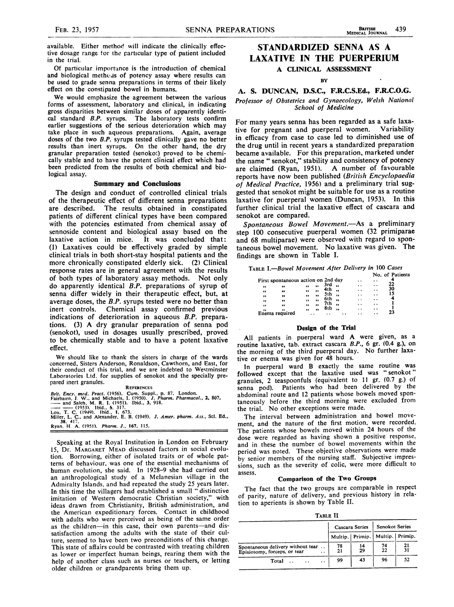available. Either method will indicate the clinically effective dosage range for the particular type of patient included in the trial.

Of particular importance is the introduction of chemical and biological methods of potency assay where results can be used to grade senna preparations in terms of their likely effect on the constipated bowel in humans.

We would emphasize the agreement between the various forms of assessment, laboratory and clinical, in indicating gross disparities between similar doses of apparently identical standard B.P. syrups. The laboratory tests confirm earlier suggestions of the serious deterioration which may take place in such aqueous preparations. Again, average doses of the two B.P. syrups tested clinically gave no better results than inert syrups. On the other hand, the dry granular preparation tested (senokot) proved to be chemically stable and to have the potent clinical effect which had been predicted from the results of both chemical and biological assay.

# Summary and Conclusions

The design and conduct of controlled clinical trials of the therapeutic effect of different senna preparations<br>are described. The results obtained in constipated The results obtained in constipated patients of different clinical types have been compared with the potencies estimated from chemical assay of sennoside content and biological assay based on the laxative action in mice. It was concluded that: (1) Laxatives could be effectively graded by simple clinical trials in both short-stay hospital patients and the more chronically constipated elderly sick. (2) Clinical response rates are in general agreement with the results of both types of laboratory assay methods. Not only do apparently identical B.P. preparations of syrup of senna differ widely in their therapeutic effect, but, at average doses, the B.P. syrups tested were no better than inert controls. Chemical assay confirmed previous indications of deterioration in aqueous B.P. preparations. (3) A dry granular preparation of senna pod (senokot), used in dosages usually prescribed, proved to be chemically stable and to have a potent laxative effect.

We should like to thank the sisters in charge of the wards concerned, Sisters Anderson, Ronaldson, Cawthorn, and East, for their conduct of this trial, and we are indebted to Westminster Laboratories Ltd. for supplies of senokot and the specially prepared inert granules.

REFERENCES<br>
Brit. Ency. med. Pract. (1956). Cum. Suppl., p. 87. London.<br>
Fairbairn, J. W., and Michaels, I. (1950). J. Pharm. Pharmacol., 2, 807.<br>
— and Saleh. M. R. I. (1951). Ibid., 3, 918.<br>
— (1935). Isid., 5, 317.<br>
Lou

Speaking at the Royal Institution in London on February 15, Dr. MARGARET MEAD discussed factors in social evolution. Borrowing, either of isolated traits or of whole patterns of behaviour, was one of the essential mechanisms of human evolution, she said. In 1928-9 she had carried out an anthropological study of a Melanesian village in the Admiralty Islands, and had repeated the study 25 years later. In this time the villagers had established a small " distinctive imitation of Western democratic Christian society," with ideas drawn from Christianity, British administration, and the American expeditionary forces. Contact in childhood with adults who were perceived as being of the same order as the children-in this case, their own parents-and dissatisfaction among the adults with the state of their culture, seemed to have been two preconditions of this change. This state of affairs could be contrasted with treating children as lower or imperfect human beings, rearing them with the help of another class such as nurses or teachers, or letting older children or grandparents bring them up.

# STANDARDIZED SENNA AS A LAXATIVE IN THE PUERPERIUM A CLINICAL ASSESSMENT

#### BY

# A. S. DUNCAN, D.S.C., F.R.C.S.Ed., F.R.C.O.G.

Professor of Obstetrics and Gynaecology, Welsh National School of Medicine

For many years senna has been regarded as a safe laxative for pregnant and puerperal women. Variability tive for pregnant and puerperal women. in efficacy from case to case led to diminished use of the drug until in recent years a standardized preparation became available. For this preparation, marketed under the name " senokot," stability and consistency of potency are claimed (Ryan, 1951). A number of favourable reports have now been published (British Encyclopaedia of Medical Practice, 1956) and a preliminary trial suggested that senokot might be suitable for use as a routine laxative for puerperal women (Duncan, 1953). In this further clinical trial the laxative effect of cascara and senokot are compared.

Spontaneous Bowel Movement.-As a preliminary step <sup>100</sup> consecutive puerperal women (32 primiparae and 68 multiparae) were observed with regard to spontaneous bowel movement. No laxative was given. The findings are shown in Table I.

|              |                                     |              |           |     |                      |                      |                      | No. of Patients      |
|--------------|-------------------------------------|--------------|-----------|-----|----------------------|----------------------|----------------------|----------------------|
|              | First spontaneous action on 2nd day |              |           |     |                      | . .                  |                      |                      |
| ,,           | $\bullet$                           | ,,           | ,,        | 3rd | $\ddot{\phantom{a}}$ | $\ddot{\phantom{0}}$ |                      | 22                   |
| $^{\bullet}$ | ,,                                  | ,,           | ,,        | 4th | ,,                   | $\cdot$ .            |                      | $\frac{1}{30}$<br>15 |
| ,,           | ,,                                  | $\cdot$      | $\bullet$ | 5th | $\bullet$            | $\ddot{\phantom{0}}$ | $\ddot{\phantom{a}}$ |                      |
| $^{\bullet}$ | ,,                                  | , ,          | ,,        | 6th | ,,                   | $\ddot{\phantom{0}}$ | . .                  |                      |
| ,,           | $^{\bullet}$                        | ,,           | ,,        | 7th | ,,                   | $\cdot$ $\cdot$      | . .                  |                      |
|              | Enema required                      | $^{\bullet}$ | ,,        | 8th | ,,                   | . .                  | $\ddot{\phantom{0}}$ | 23                   |

# Design of the Trial

All patients in puerperal ward A were given, as <sup>a</sup> routine laxative, tab. extract cascara B.P., <sup>6</sup> gr. (0.4 g.), on the morning of the third puerperal day. No further laxative or enema was given for 48 hours.

In puerperal ward B exactly the same routine was followed except that the laxative used was "senokot" granules, 2 teaspoonfuls (equivalent to <sup>11</sup> gr. (0.7 g.) of senna pod). Patients who had been delivered by the abdominal route and <sup>12</sup> patients whose bowels moved spontaneously before the third morning were excluded from the trial. No other exceptions were made.

The interval between administration and bowel movement, and the nature of the first motion, were recorded. The patients whose bowels moved within 24 hours of the dose were regarded as having shown a positive response, and in these the number of bowel movements within the period was noted. These objective observations were made by senior members of the nursing staff. Subjective impressions, such as the severity of colic, were more difficult to assess.

#### Comparison of the Two Groups

The fact that the two groups are comparable in respect of parity, nature of delivery, and previous history in relation to aperients is shown by Table II.

TABLE II

|                                                                          |              | Cascara Series  | <b>Senokot Series</b>                 |                 |  |
|--------------------------------------------------------------------------|--------------|-----------------|---------------------------------------|-----------------|--|
|                                                                          |              |                 | Multip.   Primip.   Multip.   Primip. |                 |  |
| Spontaneous delivery without tear<br>Episiotomy, forceps, or tear<br>. . | $^{78}_{21}$ | $\frac{14}{29}$ | 74<br>22                              | $\frac{21}{31}$ |  |
| Total<br>$\ddot{\phantom{0}}$                                            | 99           | 43              | 96                                    | 52              |  |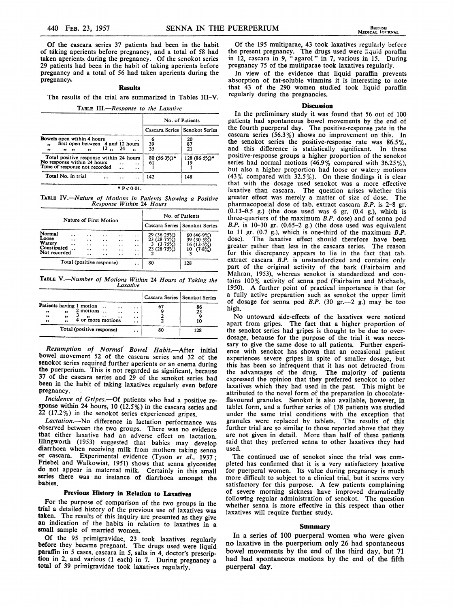Of the cascara series 37 patients had been in the habit of taking aperients before pregnancy, and <sup>a</sup> total of 58 had taken aperients during the pregnancy. Of the senokot series 29 patients had been in the habit of taking aperients before pregnancy and <sup>a</sup> total of 56 had taken aperients during the pregnancy,

#### Results

The results of the trial are summarized in Tables III-V.

TABLE III.-Response to the Laxative

|                                                                                                                                                         | No. of Patients     |                                 |  |
|---------------------------------------------------------------------------------------------------------------------------------------------------------|---------------------|---------------------------------|--|
|                                                                                                                                                         |                     | Cascara Series   Senokot Series |  |
| Bowels open within 4 hours<br>first open between 4 and 12 hours<br>,,<br>$12 \dots 24$<br><br><br>$\ddot{\phantom{a}}$                                  | 6<br>39<br>35       | 20<br>87<br>21                  |  |
| Total positive response within 24 hours<br>No response within 24 hours<br>$\ddot{\phantom{a}}$<br>Time of response not recorded<br>$\ddot{\phantom{0}}$ | $80(56.3%)$ *<br>61 | 128 (86.5%)*<br>19              |  |
| Total No. in trial                                                                                                                                      | 142                 | 148                             |  |

 $*P < 0.01$ .

TABLE IV.-Nature of Motions in Patients Showing <sup>a</sup> Positive Response Within 24 Hours

|                                                          |                               |                                                                         |                                 | No. of Patients                                                               |                                 |                                                   |                                                           |
|----------------------------------------------------------|-------------------------------|-------------------------------------------------------------------------|---------------------------------|-------------------------------------------------------------------------------|---------------------------------|---------------------------------------------------|-----------------------------------------------------------|
| Nature of First Motion                                   |                               |                                                                         |                                 |                                                                               |                                 |                                                   | Cascara Series   Senokot Series                           |
| Normal<br>Loose<br>Watery<br>Constipated<br>Not recorded | $\cdot$ $\cdot$<br>. .<br>. . | $\ddot{\phantom{0}}$<br>. .<br>$\cdot$ .<br>. .<br>$\ddot{\phantom{a}}$ | . .<br>. .<br>. .<br>. .<br>. . | . .<br>$\ddot{\phantom{0}}$<br>$\ddot{\phantom{0}}$<br>$\cdot$ .<br>$\cdot$ . | . .<br>. .<br>. .<br>. .<br>. . | 29(36.25%)<br>23(28.75%)<br>(3.75%)<br>23(28.75%) | 60 (46.9%)<br>39 (30 5%)<br>16 (12.5%)<br>$(7.8\%)$<br>10 |
| Total (positive response)                                |                               |                                                                         |                                 |                                                                               | $\ddot{\phantom{0}}$            | 80                                                | 128                                                       |

TABLE V.-Number of Motions Within 24 Hours of Taking the Laxative

|                                                                                                                     |                                    |    | Cascara Series   Senokot Series |  |
|---------------------------------------------------------------------------------------------------------------------|------------------------------------|----|---------------------------------|--|
| Patients having 1 motion<br>. .<br>2 motions<br>,,<br><br>$\ddot{\phantom{0}}$<br>99<br>,,<br>,,<br>$\cdot$ $\cdot$ | . .<br>$\ddot{\phantom{0}}$<br>. . |    | 86<br>23                        |  |
| 4 or more motions<br>,,<br>$\bullet\bullet$<br>Total (positive response)                                            | . .<br>. .                         | 80 | 128                             |  |

Resumption of Normal Bowel Habit.—After initial bowel movement 52 of the cascara series and 32 of the senokot series required further aperients or an enema during the puerperium. This is not regarded as significant, because 37 of the cascara series and 29 of the senokot series had been in the habit of taking laxatives regularly even before pregnancy.

Incidence of Gripes.—Of patients who had a positive re-sponse within 24 hours, 10 (12.5%) in the cascara series and

22 (17.2%) in the senokot series experienced gripes.<br>*Lactation*.—No difference in lactation performance was observed between the two groups. There was no evidence that either laxative had an adverse effect on lactation.<br>Illingworth (1953) suggested that babies may develop diarrhoea when receiving milk from mothers taking senna<br>or cascara. Experimental evidence (Tyson et al., 1937; Friebel and Walkowiat, 1951) shows that senna glycosides do not appear in maternal milk. Certainly in this small series there was no instance of diarrhoea amongst the babies.

Previous History in Relation to Laxatives<br>For the purpose of comparison of the two groups in the trial a detailed history of the previous use of laxatives was<br>taken. The results of this inquiry are presented as they give<br>an indication of the habits in relation to laxatives in a small sample of married women.

Of the 95 primigravidae, 23 took laxatives regularly before they became pregnant. The drugs used were liquid paraffin in 5 cases, cascara in 5, salts in 4, doctor's prescription in 2, and various (1 each) in 7. During pregnancy a total of <sup>39</sup> primigravidae took laxatives regularly.

Of the 195 multiparae, 43 took laxatives regularly before the present pregnancy. The drugs used were liquid paraffin in 12, cascara in 9, "agarol" in 7, various in 15. During pregnancy 75 of the multiparae took laxatives regularly.

In view of the evidence that liquid paraffin prevents absorption of fat-soluble vitamins it is interesting to note that 43 of the 290 women studied took liquid paraffin regularly during the pregnancies.

#### **Discussion**

In the preliminary study it was found that 56 out of 100 patients had spontaneous bowel movements by the end of the fourth puerperal day. The positive-response rate in the cascara series (56.3%) shows no improvement on this. In the senokot series the positive-response rate was 86.5%, and this difference is statistically significant. In these positive-response groups a higher proportion of the senokot series had normal motions (46.9% compared with 36.25%), but also a higher proportion had loose or watery motions (43% compared with  $32.5\%$ ). On these findings it is clear that with the dosage used senokot was a more effective laxative than cascara. The question arises whether this greater effect was merely a matter of size of dose. The pharmacopoeial dose of tab. extract cascara B.P. is 2-8 gr. (0.13-0.5 g.) (the dose used was 6 gr. (0.4 g.), which is three-quarters of the maximum B.P. dose) and of senna pod B.P. is 10-30 gr. (0.65-2 g.) (the dose used was equivalent to <sup>11</sup> gr. (0.7 g.), which is one-third of the maximum B.P. dose). The laxative effect should therefore have been greater rather than less in the cascara series. The reason for this discrepancy appears to lie in the fact that tab. extract cascara B.P. is unstandardized and contains only part of the original activity of the bark (Fairbairn and Mahran, 1953), whereas senokot is standardized and contains 100% activity of senna pod (Fairbairn and Michaels, 1950). A further point of practical importance is that for a fully active preparation such as senokot the upper limit of dosage for senna pod  $B.P.$  (30 gr.-2 g.) may be too high.

No untoward side-effects of the laxatives were noticed apart from gripes. The fact that a higher proportion of the senokot series had gripes is thought to be due to overdosage, because for the purpose of the trial it was necessary to give the same dose to all patients. Further experience with senokot has shown that an occasional patient experiences severe gripes in spite of smaller dosage, but this has been so infrequent that it has not detracted from the advantages of the drug. The majority of patients expressed the opinion that they preferred senokot to other laxatives which they had used in the past. This might be attributed to the novel form of the preparation in chocolateflavoured granules. Senokot is also available, however, in tablet form, and a further series of 138 patients was studied under the same trial conditions with the exception that granules were replaced by tablets. The results of this further trial are so similar to those reported above that they are not given in detail. More than half of these patients said that they preferred senna to other laxatives they had used.

The continued use of senokot since the trial was completed has confirmed that it is a very satisfactory laxative for puerperal women. Its value during pregnancy is much more difficult to subject to a clinical trial, but it seems very satisfactory for this purpose. A few patients complaining of severe morning sickness have improved dramatically following regular administration of senokot. The question whether senna is more effective in this respect than other laxatives will require further study.

### Summary

In <sup>a</sup> series of <sup>100</sup> puerperal women who were given no laxative in the puerperium only 26 had spontaneous bowel movements by the end of the third day, but 71 had had spontaneous motions by the end of the fifth puerperal day.